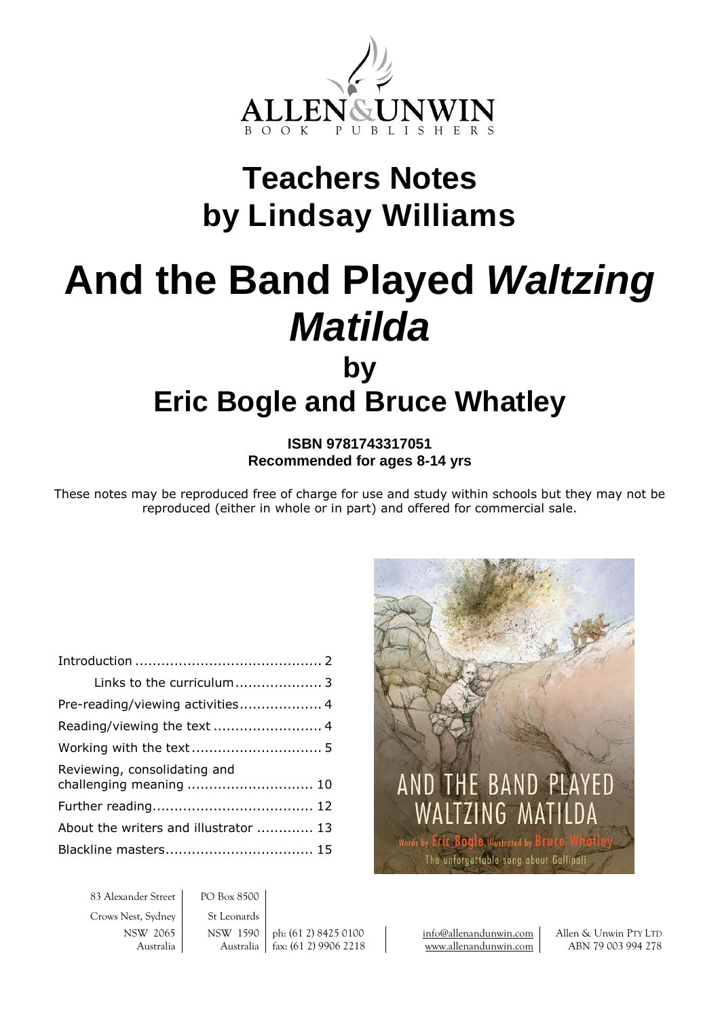

## **Teachers Notes by Lindsay Williams**

## **And the Band Played** *Waltzing Matilda* **by**

# **Eric Bogle and Bruce Whatley**

#### **ISBN 9781743317051 Recommended for ages 8-14 yrs**

These notes may be reproduced free of charge for use and study within schools but they may not be reproduced (either in whole or in part) and offered for commercial sale.

| Links to the curriculum 3                               |
|---------------------------------------------------------|
| Pre-reading/viewing activities 4                        |
|                                                         |
|                                                         |
| Reviewing, consolidating and<br>challenging meaning  10 |
|                                                         |
| About the writers and illustrator  13                   |
|                                                         |



83 Alexander Street PO Box 8500 Crows Nest, Sydney St Leonards

NSW 2065 NSW 1590 ph: (61 2) 8425 0100 [info@allenandunwin.com](mailto:info@allenandunwin.com) Allen & Unwin PTY LTD Australia | Australia | fax: (61 2) 9906 2218 | [www.allenandunwin.com](http://www.allenandunwin.com/) | ABN 79 003 994 278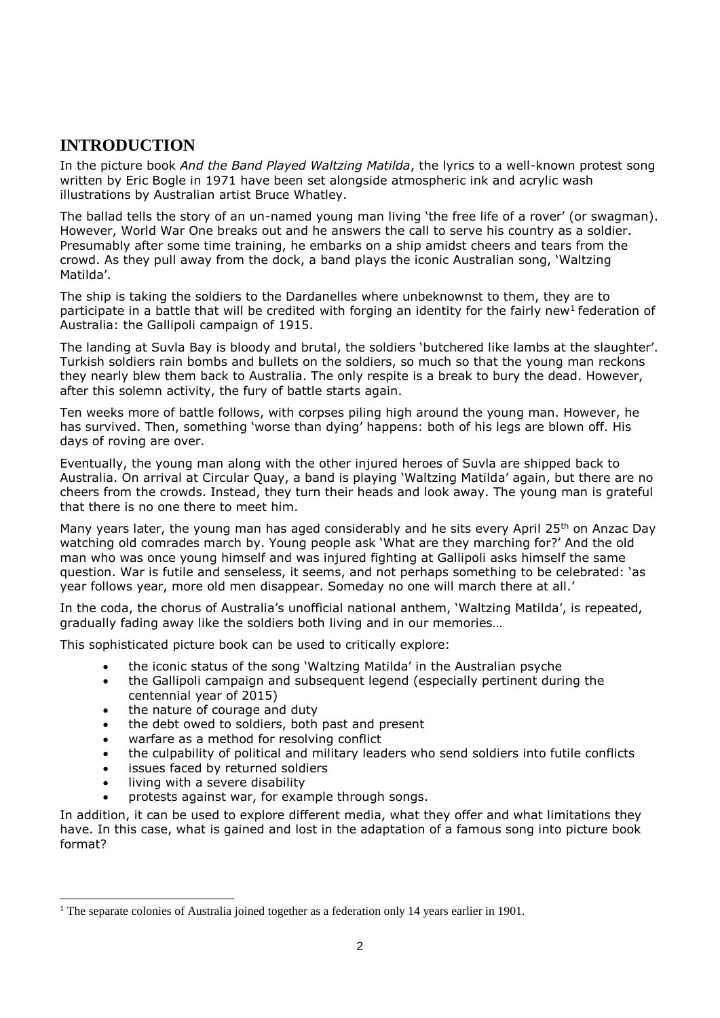## **INTRODUCTION**

In the picture book *And the Band Played Waltzing Matilda*, the lyrics to a well-known protest song written by Eric Bogle in 1971 have been set alongside atmospheric ink and acrylic wash illustrations by Australian artist Bruce Whatley.

The ballad tells the story of an un-named young man living 'the free life of a rover' (or swagman). However, World War One breaks out and he answers the call to serve his country as a soldier. Presumably after some time training, he embarks on a ship amidst cheers and tears from the crowd. As they pull away from the dock, a band plays the iconic Australian song, 'Waltzing Matilda'.

The ship is taking the soldiers to the Dardanelles where unbeknownst to them, they are to participate in a battle that will be credited with forging an identity for the fairly new<sup>1</sup> federation of Australia: the Gallipoli campaign of 1915.

The landing at Suvla Bay is bloody and brutal, the soldiers 'butchered like lambs at the slaughter'. Turkish soldiers rain bombs and bullets on the soldiers, so much so that the young man reckons they nearly blew them back to Australia. The only respite is a break to bury the dead. However, after this solemn activity, the fury of battle starts again.

Ten weeks more of battle follows, with corpses piling high around the young man. However, he has survived. Then, something 'worse than dying' happens: both of his legs are blown off. His days of roving are over.

Eventually, the young man along with the other injured heroes of Suvla are shipped back to Australia. On arrival at Circular Quay, a band is playing 'Waltzing Matilda' again, but there are no cheers from the crowds. Instead, they turn their heads and look away. The young man is grateful that there is no one there to meet him.

Many years later, the young man has aged considerably and he sits every April 25<sup>th</sup> on Anzac Day watching old comrades march by. Young people ask 'What are they marching for?' And the old man who was once young himself and was injured fighting at Gallipoli asks himself the same question. War is futile and senseless, it seems, and not perhaps something to be celebrated: 'as year follows year, more old men disappear. Someday no one will march there at all.'

In the coda, the chorus of Australia's unofficial national anthem, 'Waltzing Matilda', is repeated, gradually fading away like the soldiers both living and in our memories…

This sophisticated picture book can be used to critically explore:

- the iconic status of the song 'Waltzing Matilda' in the Australian psyche
- the Gallipoli campaign and subsequent legend (especially pertinent during the centennial year of 2015)
- the nature of courage and duty
- the debt owed to soldiers, both past and present
- warfare as a method for resolving conflict
- the culpability of political and military leaders who send soldiers into futile conflicts
- issues faced by returned soldiers
- living with a severe disability

l

protests against war, for example through songs.

In addition, it can be used to explore different media, what they offer and what limitations they have. In this case, what is gained and lost in the adaptation of a famous song into picture book format?

<sup>&</sup>lt;sup>1</sup> The separate colonies of Australia joined together as a federation only 14 years earlier in 1901.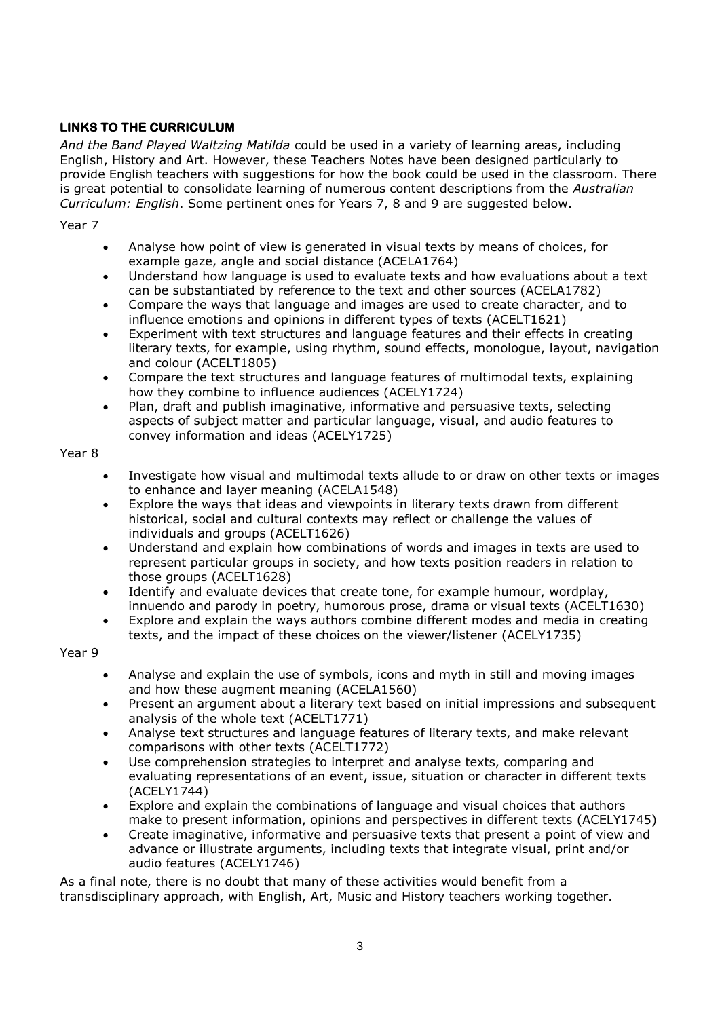#### **LINKS TO THE CURRICULUM**

*And the Band Played Waltzing Matilda* could be used in a variety of learning areas, including English, History and Art. However, these Teachers Notes have been designed particularly to provide English teachers with suggestions for how the book could be used in the classroom. There is great potential to consolidate learning of numerous content descriptions from the *Australian Curriculum: English*. Some pertinent ones for Years 7, 8 and 9 are suggested below.

Year 7

- Analyse how [point of view](http://www.australiancurriculum.edu.au/glossary/popup?a=E&t=point+of+view) is generated in visual texts by means of choices, for example gaze, angle and social distance [\(ACELA1764\)](http://www.australiancurriculum.edu.au/curriculum/contentdescription/ACELA1764)
- Understand how language is used to evaluate texts and how evaluations about a [text](http://www.australiancurriculum.edu.au/glossary/popup?a=E&t=text) can be substantiated by reference to the [text](http://www.australiancurriculum.edu.au/glossary/popup?a=E&t=text) and other sources [\(ACELA1782\)](http://www.australiancurriculum.edu.au/curriculum/contentdescription/ACELA1782)
- Compare the ways that language and images are used to [create](http://www.australiancurriculum.edu.au/glossary/popup?a=E&t=create) character, and to influence emotions and opinions in different [types of texts](http://www.australiancurriculum.edu.au/glossary/popup?a=E&t=types+of+texts) [\(ACELT1621\)](http://www.australiancurriculum.edu.au/curriculum/contentdescription/ACELT1621)
- Experiment with [text](http://www.australiancurriculum.edu.au/glossary/popup?a=E&t=text) structures and [language features](http://www.australiancurriculum.edu.au/glossary/popup?a=E&t=language+features) and their effects in [creating](http://www.australiancurriculum.edu.au/glossary/popup?a=E&t=creating) literary texts, for example, using rhythm, sound effects, monologue, [layout,](http://www.australiancurriculum.edu.au/glossary/popup?a=E&t=layout) navigation and colour [\(ACELT1805\)](http://www.australiancurriculum.edu.au/curriculum/contentdescription/ACELT1805)
- Compare the [text](http://www.australiancurriculum.edu.au/glossary/popup?a=E&t=text) structures and [language features](http://www.australiancurriculum.edu.au/glossary/popup?a=E&t=language+features) of multimodal texts, explaining how they combine to influence audiences [\(ACELY1724\)](http://www.australiancurriculum.edu.au/curriculum/contentdescription/ACELY1724)
- Plan, draft and publish imaginative, informative and persuasive texts, selecting aspects of [subject](http://www.australiancurriculum.edu.au/glossary/popup?a=E&t=subject) matter and particular language, visual, and audio features to convey information and ideas [\(ACELY1725\)](http://www.australiancurriculum.edu.au/curriculum/contentdescription/ACELY1725)

Year 8

- Investigate how visual and multimodal texts allude to or draw on other texts or images to enhance and layer meaning [\(ACELA1548\)](http://www.australiancurriculum.edu.au/curriculum/contentdescription/ACELA1548)
- Explore the ways that ideas and viewpoints in literary texts drawn from different historical, social and cultural contexts may reflect or challenge the values of individuals and groups [\(ACELT1626\)](http://www.australiancurriculum.edu.au/curriculum/contentdescription/ACELT1626)
- Understand and explain how combinations of words and images in texts are used to represent particular groups in society, and how texts position readers in relation to those groups [\(ACELT1628\)](http://www.australiancurriculum.edu.au/curriculum/contentdescription/ACELT1628)
- Identify and evaluate devices that [create](http://www.australiancurriculum.edu.au/glossary/popup?a=E&t=create) tone, for example humour, wordplay, innuendo and parody in poetry, humorous prose, drama or visual texts [\(ACELT1630\)](http://www.australiancurriculum.edu.au/curriculum/contentdescription/ACELT1630)
- Explore and explain the ways authors combine different modes and media in [creating](http://www.australiancurriculum.edu.au/glossary/popup?a=E&t=creating) texts, and the impact of these choices on the viewer/listener [\(ACELY1735\)](http://www.australiancurriculum.edu.au/curriculum/contentdescription/ACELY1735)

Year 9

- Analyse and explain the use of symbols, icons and myth in still and moving images and how these augment meaning [\(ACELA1560\)](http://www.australiancurriculum.edu.au/curriculum/contentdescription/ACELA1560)
- Present an argument about a literary [text](http://www.australiancurriculum.edu.au/glossary/popup?a=E&t=text) based on initial impressions and subsequent analysis of the whole [text](http://www.australiancurriculum.edu.au/glossary/popup?a=E&t=text) [\(ACELT1771\)](http://www.australiancurriculum.edu.au/curriculum/contentdescription/ACELT1771)
- Analyse [text](http://www.australiancurriculum.edu.au/glossary/popup?a=E&t=text) structures and [language features](http://www.australiancurriculum.edu.au/glossary/popup?a=E&t=language+features) of literary texts, and make relevant comparisons with other texts [\(ACELT1772\)](http://www.australiancurriculum.edu.au/curriculum/contentdescription/ACELT1772)
- Use [comprehension strategies](http://www.australiancurriculum.edu.au/glossary/popup?a=E&t=comprehension+strategies) to interpret and analyse texts, comparing and evaluating representations of an event, issue, situation or character in different texts [\(ACELY1744\)](http://www.australiancurriculum.edu.au/curriculum/contentdescription/ACELY1744)
- Explore and explain the combinations of language and visual choices that authors make to present information, opinions and perspectives in different texts [\(ACELY1745\)](http://www.australiancurriculum.edu.au/curriculum/contentdescription/ACELY1745)
- [Create](http://www.australiancurriculum.edu.au/glossary/popup?a=E&t=create) imaginative, informative and persuasive texts that present a [point of view](http://www.australiancurriculum.edu.au/glossary/popup?a=E&t=point+of+view) and advance or illustrate arguments, including texts that integrate visual, print and/or audio features [\(ACELY1746\)](http://www.australiancurriculum.edu.au/curriculum/contentdescription/ACELY1746)

As a final note, there is no doubt that many of these activities would benefit from a transdisciplinary approach, with English, Art, Music and History teachers working together.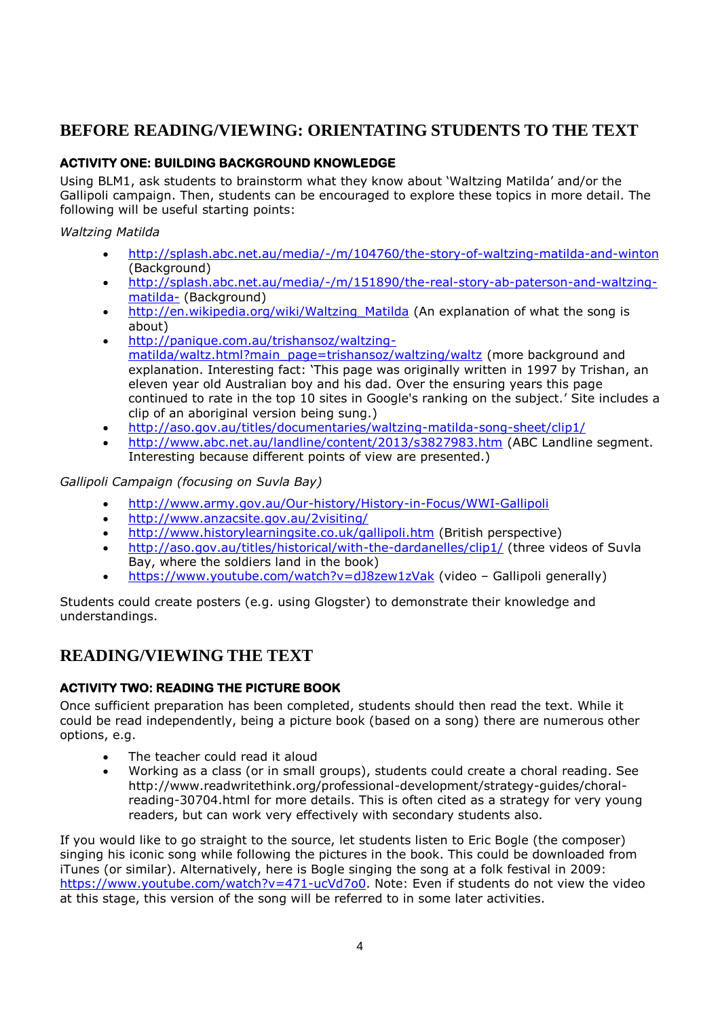## **BEFORE READING/VIEWING: ORIENTATING STUDENTS TO THE TEXT**

### **ACTIVITY ONE: BUILDING BACKGROUND KNOWLEDGE**

Using BLM1, ask students to brainstorm what they know about 'Waltzing Matilda' and/or the Gallipoli campaign. Then, students can be encouraged to explore these topics in more detail. The following will be useful starting points:

#### *Waltzing Matilda*

- <http://splash.abc.net.au/media/-/m/104760/the-story-of-waltzing-matilda-and-winton> (Background)
- [http://splash.abc.net.au/media/-/m/151890/the-real-story-ab-paterson-and-waltzing](http://splash.abc.net.au/media/-/m/151890/the-real-story-ab-paterson-and-waltzing-matilda-)[matilda-](http://splash.abc.net.au/media/-/m/151890/the-real-story-ab-paterson-and-waltzing-matilda-) (Background)
- [http://en.wikipedia.org/wiki/Waltzing\\_Matilda](http://en.wikipedia.org/wiki/Waltzing_Matilda) (An explanation of what the song is about)
- [http://panique.com.au/trishansoz/waltzing](http://panique.com.au/trishansoz/waltzing-matilda/waltz.html?main_page=trishansoz/waltzing/waltz)[matilda/waltz.html?main\\_page=trishansoz/waltzing/waltz](http://panique.com.au/trishansoz/waltzing-matilda/waltz.html?main_page=trishansoz/waltzing/waltz) (more background and explanation. Interesting fact: 'This page was [originally written](http://pandora.nla.gov.au/nph-wb/19981014130000/http:/www.ozramp.net.au/~senani/waltz.htm) in 1997 by [Trishan,](http://panique.com.au/trishansoz/aboutme/aboutme.html) an eleven year old Australian boy and his dad. Over the ensuring years this page continued to rate in the top 10 sites in Google's ranking on the subject.' Site includes a clip of an aboriginal version being sung.)
- <http://aso.gov.au/titles/documentaries/waltzing-matilda-song-sheet/clip1/>
- <http://www.abc.net.au/landline/content/2013/s3827983.htm> (ABC Landline segment. Interesting because different points of view are presented.)

*Gallipoli Campaign (focusing on Suvla Bay)*

- <http://www.army.gov.au/Our-history/History-in-Focus/WWI-Gallipoli>
- <http://www.anzacsite.gov.au/2visiting/>
- <http://www.historylearningsite.co.uk/gallipoli.htm> (British perspective)
- <http://aso.gov.au/titles/historical/with-the-dardanelles/clip1/> (three videos of Suvla Bay, where the soldiers land in the book)
- <https://www.youtube.com/watch?v=dJ8zew1zVak> (video Gallipoli generally)

Students could create posters (e.g. using Glogster) to demonstrate their knowledge and understandings.

## **READING/VIEWING THE TEXT**

#### **ACTIVITY TWO: READING THE PICTURE BOOK**

Once sufficient preparation has been completed, students should then read the text. While it could be read independently, being a picture book (based on a song) there are numerous other options, e.g.

- The teacher could read it aloud
- Working as a class (or in small groups), students could create a choral reading. See [http://www.readwritethink.org/professional-development/strategy-guides/choral](http://www.readwritethink.org/professional-development/strategy-guides/choral-reading-30704.html)[reading-30704.html](http://www.readwritethink.org/professional-development/strategy-guides/choral-reading-30704.html) for more details. This is often cited as a strategy for very young readers, but can work very effectively with secondary students also.

If you would like to go straight to the source, let students listen to Eric Bogle (the composer) singing his iconic song while following the pictures in the book. This could be downloaded from iTunes (or similar). Alternatively, here is Bogle singing the song at a folk festival in 2009: [https://www.youtube.com/watch?v=471-ucVd7o0.](https://www.youtube.com/watch?v=471-ucVd7o0) Note: Even if students do not view the video at this stage, this version of the song will be referred to in some later activities.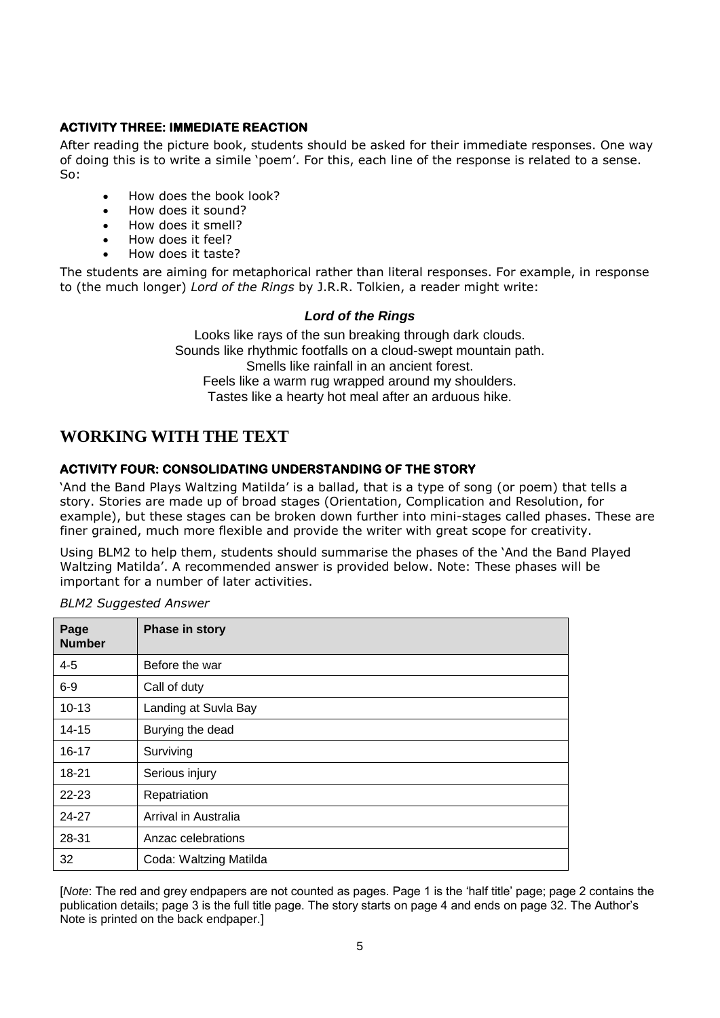#### **ACTIVITY THREE: IMMEDIATE REACTION**

After reading the picture book, students should be asked for their immediate responses. One way of doing this is to write a simile 'poem'. For this, each line of the response is related to a sense. So:

- How does the book look?
- How does it sound?
- How does it smell?
- How does it feel?
- How does it taste?

The students are aiming for metaphorical rather than literal responses. For example, in response to (the much longer) *Lord of the Rings* by J.R.R. Tolkien, a reader might write:

#### *Lord of the Rings*

Looks like rays of the sun breaking through dark clouds. Sounds like rhythmic footfalls on a cloud-swept mountain path. Smells like rainfall in an ancient forest. Feels like a warm rug wrapped around my shoulders. Tastes like a hearty hot meal after an arduous hike.

## **WORKING WITH THE TEXT**

#### **ACTIVITY FOUR: CONSOLIDATING UNDERSTANDING OF THE STORY**

'And the Band Plays Waltzing Matilda' is a ballad, that is a type of song (or poem) that tells a story. Stories are made up of broad stages (Orientation, Complication and Resolution, for example), but these stages can be broken down further into mini-stages called phases. These are finer grained, much more flexible and provide the writer with great scope for creativity.

Using BLM2 to help them, students should summarise the phases of the 'And the Band Played Waltzing Matilda'. A recommended answer is provided below. Note: These phases will be important for a number of later activities.

| Page<br><b>Number</b> | Phase in story         |
|-----------------------|------------------------|
| $4 - 5$               | Before the war         |
| $6-9$                 | Call of duty           |
| $10 - 13$             | Landing at Suvla Bay   |
| $14 - 15$             | Burying the dead       |
| $16 - 17$             | Surviving              |
| 18-21                 | Serious injury         |
| $22 - 23$             | Repatriation           |
| 24-27                 | Arrival in Australia   |
| 28-31                 | Anzac celebrations     |
| 32                    | Coda: Waltzing Matilda |

*BLM2 Suggested Answer*

[*Note*: The red and grey endpapers are not counted as pages. Page 1 is the 'half title' page; page 2 contains the publication details; page 3 is the full title page. The story starts on page 4 and ends on page 32. The Author's Note is printed on the back endpaper.]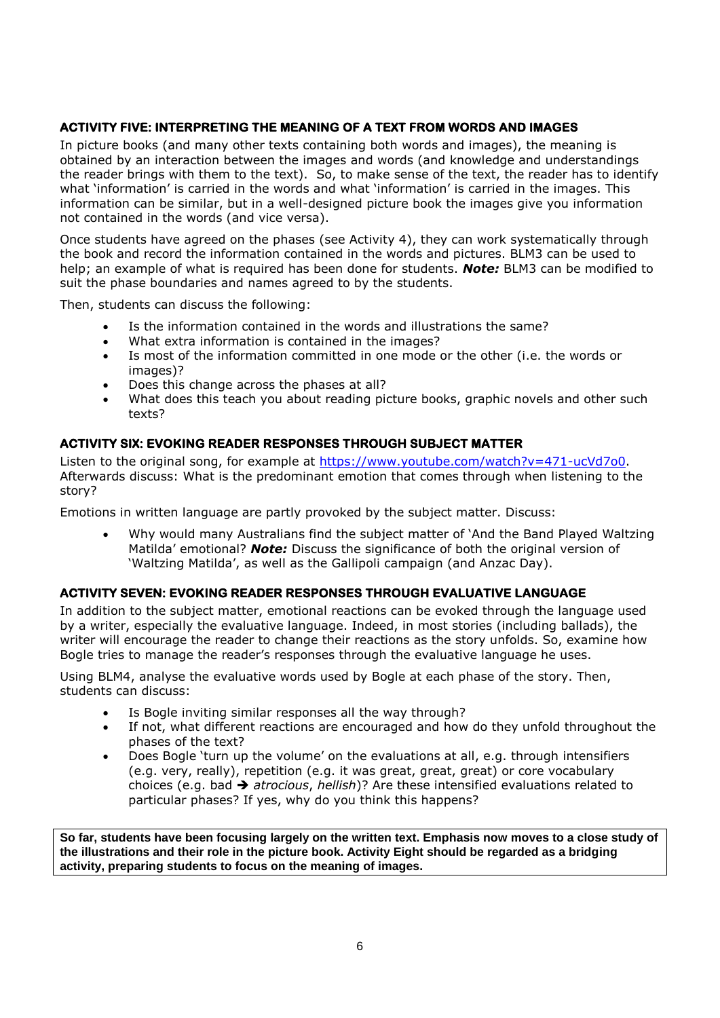#### **ACTIVITY FIVE: INTERPRETING THE MEANING OF A TEXT FROM WORDS AND IMAGES**

In picture books (and many other texts containing both words and images), the meaning is obtained by an interaction between the images and words (and knowledge and understandings the reader brings with them to the text). So, to make sense of the text, the reader has to identify what 'information' is carried in the words and what 'information' is carried in the images. This information can be similar, but in a well-designed picture book the images give you information not contained in the words (and vice versa).

Once students have agreed on the phases (see Activity 4), they can work systematically through the book and record the information contained in the words and pictures. BLM3 can be used to help; an example of what is required has been done for students. *Note:* BLM3 can be modified to suit the phase boundaries and names agreed to by the students.

Then, students can discuss the following:

- Is the information contained in the words and illustrations the same?
- What extra information is contained in the images?
- Is most of the information committed in one mode or the other (i.e. the words or images)?
- Does this change across the phases at all?
- What does this teach you about reading picture books, graphic novels and other such texts?

#### **ACTIVITY SIX: EVOKING READER RESPONSES THROUGH SUBJECT MATTER**

Listen to the original song, for example at [https://www.youtube.com/watch?v=471-ucVd7o0.](https://www.youtube.com/watch?v=471-ucVd7o0) Afterwards discuss: What is the predominant emotion that comes through when listening to the story?

Emotions in written language are partly provoked by the subject matter. Discuss:

 Why would many Australians find the subject matter of 'And the Band Played Waltzing Matilda' emotional? *Note:* Discuss the significance of both the original version of 'Waltzing Matilda', as well as the Gallipoli campaign (and Anzac Day).

#### **ACTIVITY SEVEN: EVOKING READER RESPONSES THROUGH EVALUATIVE LANGUAGE**

In addition to the subject matter, emotional reactions can be evoked through the language used by a writer, especially the evaluative language. Indeed, in most stories (including ballads), the writer will encourage the reader to change their reactions as the story unfolds. So, examine how Bogle tries to manage the reader's responses through the evaluative language he uses.

Using BLM4, analyse the evaluative words used by Bogle at each phase of the story. Then, students can discuss:

- Is Bogle inviting similar responses all the way through?
- If not, what different reactions are encouraged and how do they unfold throughout the phases of the text?
- Does Bogle 'turn up the volume' on the evaluations at all, e.g. through intensifiers (e.g. very, really), repetition (e.g. it was great, great, great) or core vocabulary choices (e.g. bad *atrocious*, *hellish*)? Are these intensified evaluations related to particular phases? If yes, why do you think this happens?

**So far, students have been focusing largely on the written text. Emphasis now moves to a close study of the illustrations and their role in the picture book. Activity Eight should be regarded as a bridging activity, preparing students to focus on the meaning of images.**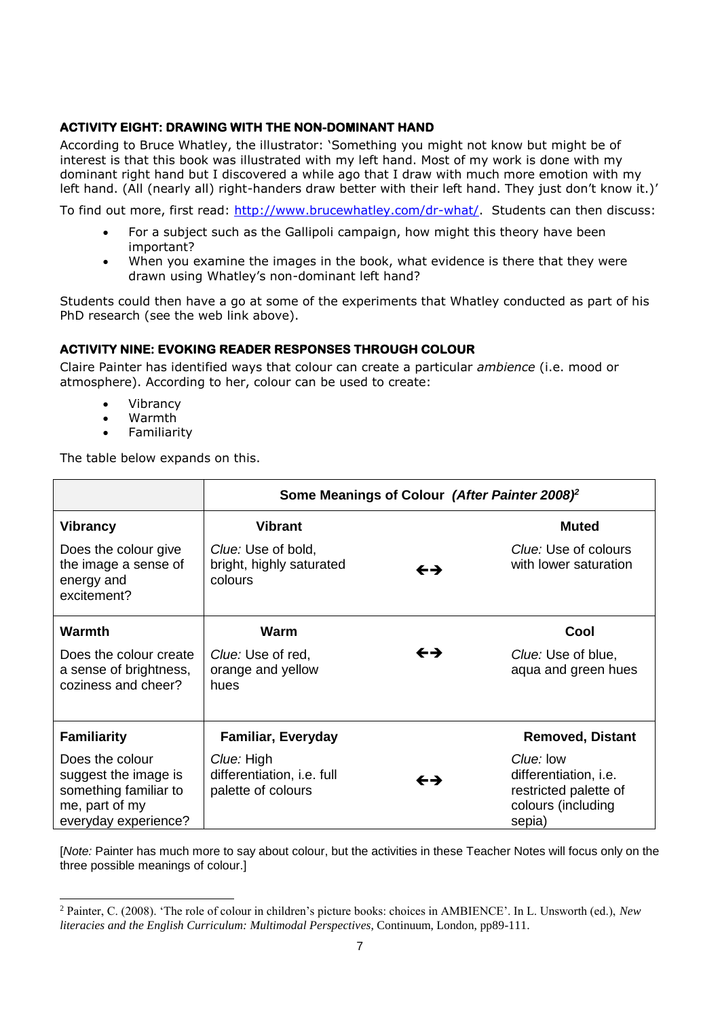#### **ACTIVITY EIGHT: DRAWING WITH THE NON-DOMINANT HAND**

According to Bruce Whatley, the illustrator: 'Something you might not know but might be of interest is that this book was illustrated with my left hand. Most of my work is done with my dominant right hand but I discovered a while ago that I draw with much more emotion with my left hand. (All (nearly all) right-handers draw better with their left hand. They just don't know it.)'

To find out more, first read: [http://www.brucewhatley.com/dr-what/.](http://www.brucewhatley.com/dr-what/) Students can then discuss:

- For a subject such as the Gallipoli campaign, how might this theory have been important?
- When you examine the images in the book, what evidence is there that they were drawn using Whatley's non-dominant left hand?

Students could then have a go at some of the experiments that Whatley conducted as part of his PhD research (see the web link above).

#### **ACTIVITY NINE: EVOKING READER RESPONSES THROUGH COLOUR**

Claire Painter has identified ways that colour can create a particular *ambience* (i.e. mood or atmosphere). According to her, colour can be used to create:

- Vibrancy
- Warmth

l

**•** Familiarity

The table below expands on this.

|                                                                                                            | Some Meanings of Colour (After Painter 2008) <sup>2</sup>      |                   |                                                                                                    |
|------------------------------------------------------------------------------------------------------------|----------------------------------------------------------------|-------------------|----------------------------------------------------------------------------------------------------|
| <b>Vibrancy</b>                                                                                            | <b>Vibrant</b>                                                 |                   | <b>Muted</b>                                                                                       |
| Does the colour give<br>the image a sense of<br>energy and<br>excitement?                                  | Clue: Use of bold,<br>bright, highly saturated<br>colours      | $\leftrightarrow$ | Clue: Use of colours<br>with lower saturation                                                      |
| Warmth                                                                                                     | Warm                                                           |                   | Cool                                                                                               |
| Does the colour create<br>a sense of brightness,<br>coziness and cheer?                                    | Clue: Use of red,<br>orange and yellow<br>hues                 | ←→                | Clue: Use of blue,<br>aqua and green hues                                                          |
| <b>Familiarity</b>                                                                                         | <b>Familiar, Everyday</b>                                      |                   | <b>Removed, Distant</b>                                                                            |
| Does the colour<br>suggest the image is<br>something familiar to<br>me, part of my<br>everyday experience? | Clue: High<br>differentiation, i.e. full<br>palette of colours | $\leftrightarrow$ | Clue: low<br>differentiation, <i>i.e.</i><br>restricted palette of<br>colours (including<br>sepia) |

[*Note:* Painter has much more to say about colour, but the activities in these Teacher Notes will focus only on the three possible meanings of colour.]

<sup>2</sup> Painter, C. (2008). 'The role of colour in children's picture books: choices in AMBIENCE'. In L. Unsworth (ed.), *New literacies and the English Curriculum: Multimodal Perspectives*, Continuum, London, pp89-111.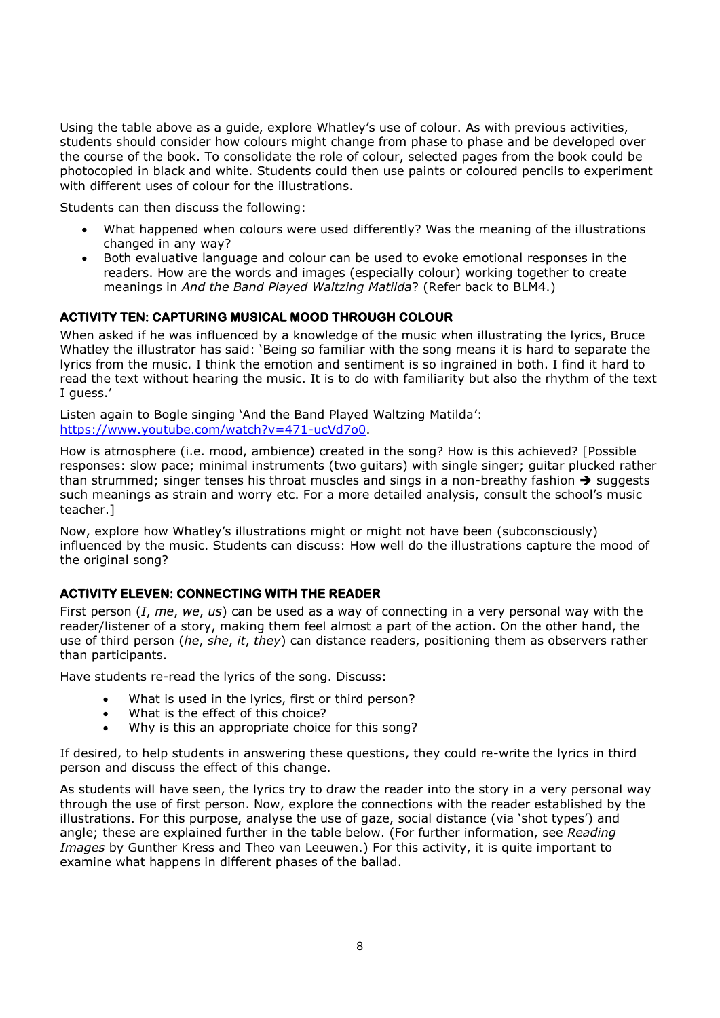Using the table above as a guide, explore Whatley's use of colour. As with previous activities, students should consider how colours might change from phase to phase and be developed over the course of the book. To consolidate the role of colour, selected pages from the book could be photocopied in black and white. Students could then use paints or coloured pencils to experiment with different uses of colour for the illustrations.

Students can then discuss the following:

- What happened when colours were used differently? Was the meaning of the illustrations changed in any way?
- Both evaluative language and colour can be used to evoke emotional responses in the readers. How are the words and images (especially colour) working together to create meanings in *And the Band Played Waltzing Matilda*? (Refer back to BLM4.)

#### **ACTIVITY TEN: CAPTURING MUSICAL MOOD THROUGH COLOUR**

When asked if he was influenced by a knowledge of the music when illustrating the lyrics, Bruce Whatley the illustrator has said: 'Being so familiar with the song means it is hard to separate the lyrics from the music. I think the emotion and sentiment is so ingrained in both. I find it hard to read the text without hearing the music. It is to do with familiarity but also the rhythm of the text I guess.'

Listen again to Bogle singing 'And the Band Played Waltzing Matilda': [https://www.youtube.com/watch?v=471-ucVd7o0.](https://www.youtube.com/watch?v=471-ucVd7o0)

How is atmosphere (i.e. mood, ambience) created in the song? How is this achieved? [Possible responses: slow pace; minimal instruments (two guitars) with single singer; guitar plucked rather than strummed; singer tenses his throat muscles and sings in a non-breathy fashion  $\rightarrow$  suggests such meanings as strain and worry etc. For a more detailed analysis, consult the school's music teacher.]

Now, explore how Whatley's illustrations might or might not have been (subconsciously) influenced by the music. Students can discuss: How well do the illustrations capture the mood of the original song?

#### **ACTIVITY ELEVEN: CONNECTING WITH THE READER**

First person (*I*, *me*, *we*, *us*) can be used as a way of connecting in a very personal way with the reader/listener of a story, making them feel almost a part of the action. On the other hand, the use of third person (*he*, *she*, *it*, *they*) can distance readers, positioning them as observers rather than participants.

Have students re-read the lyrics of the song. Discuss:

- What is used in the lyrics, first or third person?
- What is the effect of this choice?
- Why is this an appropriate choice for this song?

If desired, to help students in answering these questions, they could re-write the lyrics in third person and discuss the effect of this change.

As students will have seen, the lyrics try to draw the reader into the story in a very personal way through the use of first person. Now, explore the connections with the reader established by the illustrations. For this purpose, analyse the use of gaze, social distance (via 'shot types') and angle; these are explained further in the table below. (For further information, see *Reading Images* by Gunther Kress and Theo van Leeuwen.) For this activity, it is quite important to examine what happens in different phases of the ballad.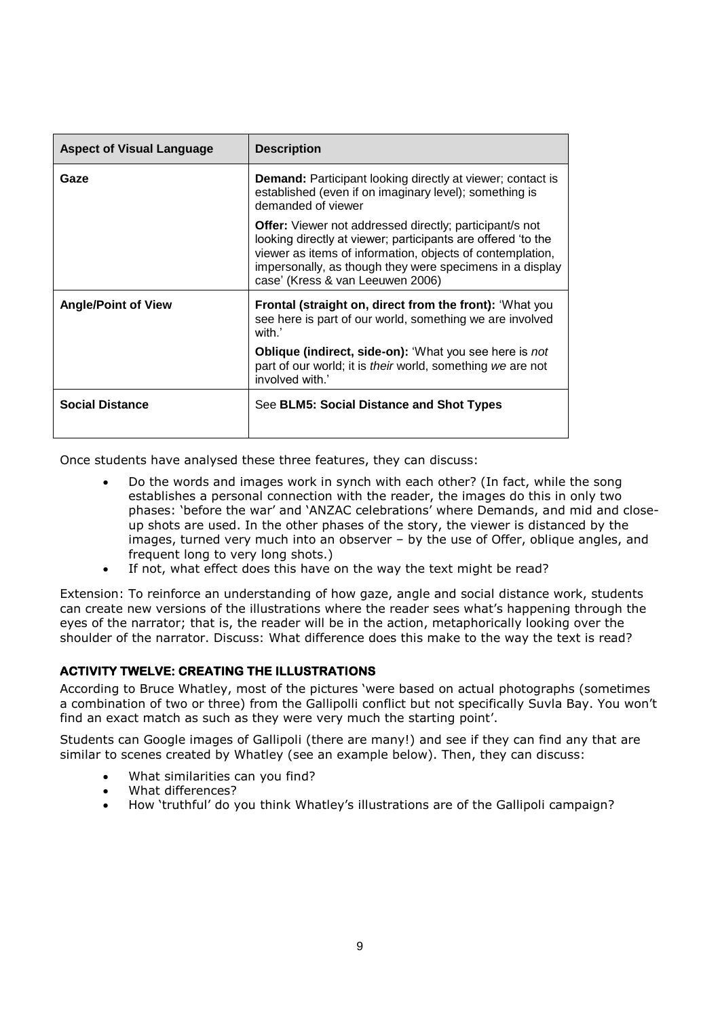| <b>Aspect of Visual Language</b> | <b>Description</b>                                                                                                                                                                                                                                                                          |
|----------------------------------|---------------------------------------------------------------------------------------------------------------------------------------------------------------------------------------------------------------------------------------------------------------------------------------------|
| Gaze                             | <b>Demand:</b> Participant looking directly at viewer; contact is<br>established (even if on imaginary level); something is<br>demanded of viewer                                                                                                                                           |
|                                  | <b>Offer:</b> Viewer not addressed directly; participant/s not<br>looking directly at viewer; participants are offered 'to the<br>viewer as items of information, objects of contemplation,<br>impersonally, as though they were specimens in a display<br>case' (Kress & van Leeuwen 2006) |
| <b>Angle/Point of View</b>       | Frontal (straight on, direct from the front): 'What you<br>see here is part of our world, something we are involved<br>with.'                                                                                                                                                               |
|                                  | <b>Oblique (indirect, side-on):</b> 'What you see here is not<br>part of our world; it is their world, something we are not<br>involved with.'                                                                                                                                              |
| <b>Social Distance</b>           | See BLM5: Social Distance and Shot Types                                                                                                                                                                                                                                                    |

Once students have analysed these three features, they can discuss:

- Do the words and images work in synch with each other? (In fact, while the song establishes a personal connection with the reader, the images do this in only two phases: 'before the war' and 'ANZAC celebrations' where Demands, and mid and closeup shots are used. In the other phases of the story, the viewer is distanced by the images, turned very much into an observer – by the use of Offer, oblique angles, and frequent long to very long shots.)
- If not, what effect does this have on the way the text might be read?

Extension: To reinforce an understanding of how gaze, angle and social distance work, students can create new versions of the illustrations where the reader sees what's happening through the eyes of the narrator; that is, the reader will be in the action, metaphorically looking over the shoulder of the narrator. Discuss: What difference does this make to the way the text is read?

#### **ACTIVITY TWELVE: CREATING THE ILLUSTRATIONS**

According to Bruce Whatley, most of the pictures 'were based on actual photographs (sometimes a combination of two or three) from the Gallipolli conflict but not specifically Suvla Bay. You won't find an exact match as such as they were very much the starting point'.

Students can Google images of Gallipoli (there are many!) and see if they can find any that are similar to scenes created by Whatley (see an example below). Then, they can discuss:

- What similarities can you find?
- What differences?
- How 'truthful' do you think Whatley's illustrations are of the Gallipoli campaign?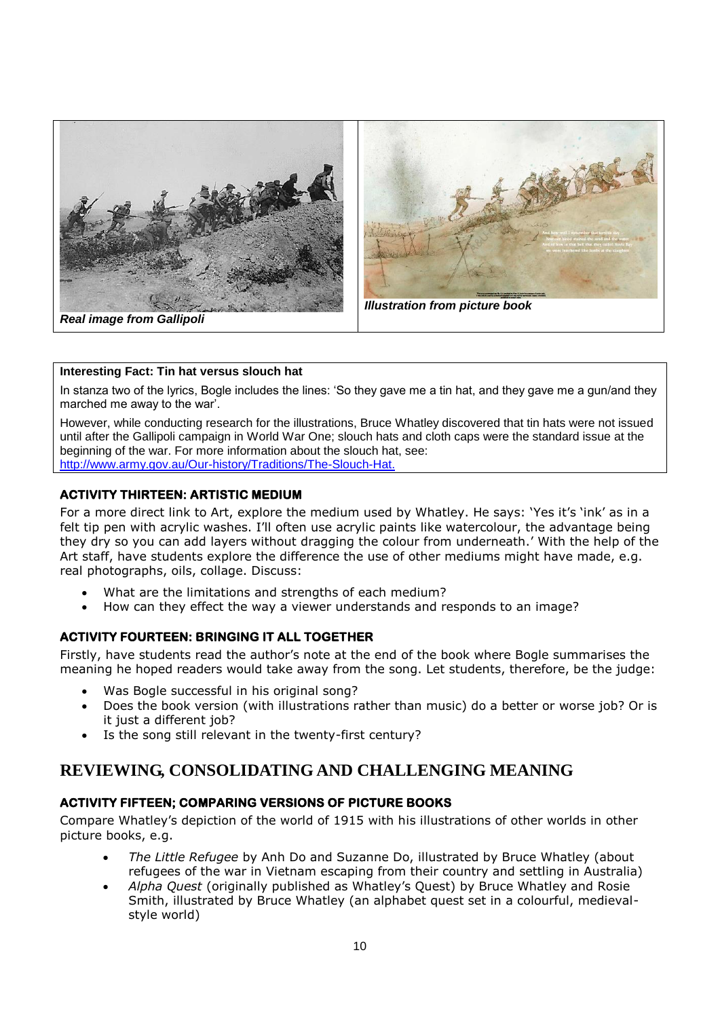



*Illustration from picture book*

#### **Interesting Fact: Tin hat versus slouch hat**

In stanza two of the lyrics, Bogle includes the lines: 'So they gave me a tin hat, and they gave me a gun/and they marched me away to the war'.

However, while conducting research for the illustrations, Bruce Whatley discovered that tin hats were not issued until after the Gallipoli campaign in World War One; slouch hats and cloth caps were the standard issue at the beginning of the war. For more information about the slouch hat, see: [http://www.army.gov.au/Our-history/Traditions/The-Slouch-Hat.](http://www.army.gov.au/Our-history/Traditions/The-Slouch-Hat)

#### **ACTIVITY THIRTEEN: ARTISTIC MEDIUM**

For a more direct link to Art, explore the medium used by Whatley. He says: 'Yes it's 'ink' as in a felt tip pen with acrylic washes. I'll often use acrylic paints like watercolour, the advantage being they dry so you can add layers without dragging the colour from underneath.' With the help of the Art staff, have students explore the difference the use of other mediums might have made, e.g. real photographs, oils, collage. Discuss:

- What are the limitations and strengths of each medium?
- How can they effect the way a viewer understands and responds to an image?

#### **ACTIVITY FOURTEEN: BRINGING IT ALL TOGETHER**

Firstly, have students read the author's note at the end of the book where Bogle summarises the meaning he hoped readers would take away from the song. Let students, therefore, be the judge:

- Was Bogle successful in his original song?
- Does the book version (with illustrations rather than music) do a better or worse job? Or is it just a different job?
- Is the song still relevant in the twenty-first century?

## **REVIEWING, CONSOLIDATING AND CHALLENGING MEANING**

#### **ACTIVITY FIFTEEN; COMPARING VERSIONS OF PICTURE BOOKS**

Compare Whatley's depiction of the world of 1915 with his illustrations of other worlds in other picture books, e.g.

- *The Little Refugee* by Anh Do and Suzanne Do, illustrated by Bruce Whatley (about refugees of the war in Vietnam escaping from their country and settling in Australia)
- *Alpha Quest* (originally published as Whatley's Quest) by Bruce Whatley and Rosie Smith, illustrated by Bruce Whatley (an alphabet quest set in a colourful, medievalstyle world)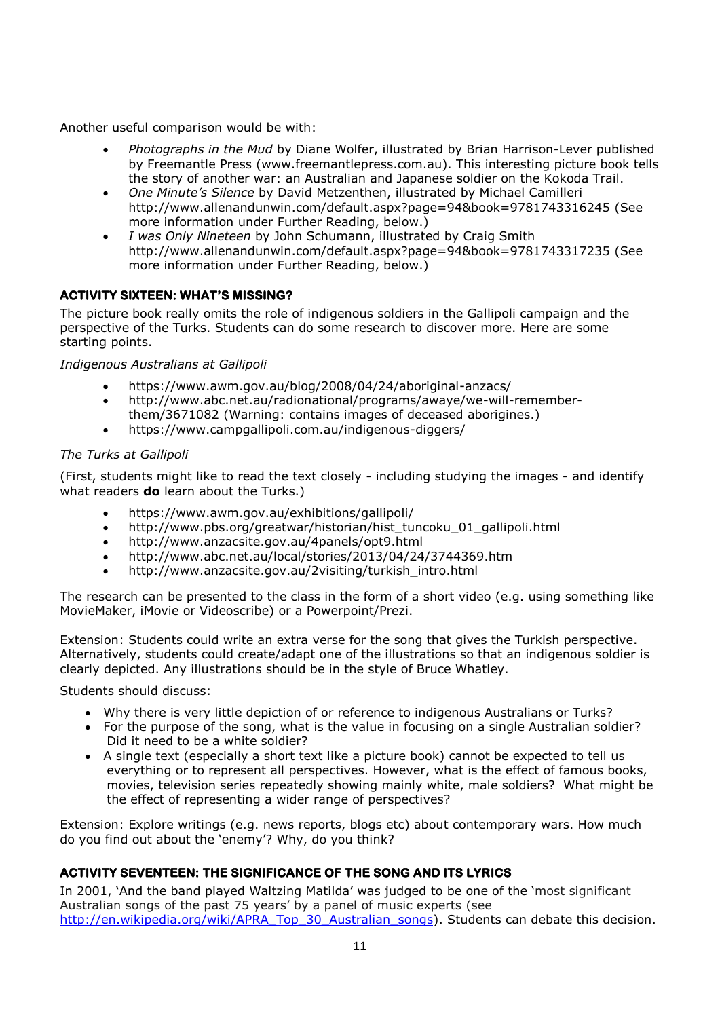Another useful comparison would be with:

- *Photographs in the Mud* by Diane Wolfer, illustrated by Brian Harrison-Lever published by Freemantle Press (www.freemantlepress.com.au). This interesting picture book tells the story of another war: an Australian and Japanese soldier on the Kokoda Trail.
- *One Minute's Silence* by David Metzenthen, illustrated by Michael Camilleri <http://www.allenandunwin.com/default.aspx?page=94&book=9781743316245> (See more information under Further Reading, below.)
- *I was Only Nineteen* by John Schumann, illustrated by Craig Smith <http://www.allenandunwin.com/default.aspx?page=94&book=9781743317235> (See more information under Further Reading, below.)

#### **ACTIVITY SIXTEEN: WHAT'S MISSING?**

The picture book really omits the role of indigenous soldiers in the Gallipoli campaign and the perspective of the Turks. Students can do some research to discover more. Here are some starting points.

#### *Indigenous Australians at Gallipoli*

- <https://www.awm.gov.au/blog/2008/04/24/aboriginal-anzacs/>
- [http://www.abc.net.au/radionational/programs/awaye/we-will-remember](http://www.abc.net.au/radionational/programs/awaye/we-will-remember-them/3671082)[them/3671082](http://www.abc.net.au/radionational/programs/awaye/we-will-remember-them/3671082) (Warning: contains images of deceased aborigines.)
- <https://www.campgallipoli.com.au/indigenous-diggers/>

#### *The Turks at Gallipoli*

(First, students might like to read the text closely - including studying the images - and identify what readers **do** learn about the Turks.)

- <https://www.awm.gov.au/exhibitions/gallipoli/>
- [http://www.pbs.org/greatwar/historian/hist\\_tuncoku\\_01\\_gallipoli.html](http://www.pbs.org/greatwar/historian/hist_tuncoku_01_gallipoli.html)
- <http://www.anzacsite.gov.au/4panels/opt9.html>
- <http://www.abc.net.au/local/stories/2013/04/24/3744369.htm>
- [http://www.anzacsite.gov.au/2visiting/turkish\\_intro.html](http://www.anzacsite.gov.au/2visiting/turkish_intro.html)

The research can be presented to the class in the form of a short video (e.g. using something like MovieMaker, iMovie or Videoscribe) or a Powerpoint/Prezi.

Extension: Students could write an extra verse for the song that gives the Turkish perspective. Alternatively, students could create/adapt one of the illustrations so that an indigenous soldier is clearly depicted. Any illustrations should be in the style of Bruce Whatley.

Students should discuss:

- Why there is very little depiction of or reference to indigenous Australians or Turks?
- For the purpose of the song, what is the value in focusing on a single Australian soldier? Did it need to be a white soldier?
- A single text (especially a short text like a picture book) cannot be expected to tell us everything or to represent all perspectives. However, what is the effect of famous books, movies, television series repeatedly showing mainly white, male soldiers? What might be the effect of representing a wider range of perspectives?

Extension: Explore writings (e.g. news reports, blogs etc) about contemporary wars. How much do you find out about the 'enemy'? Why, do you think?

#### **ACTIVITY SEVENTEEN: THE SIGNIFICANCE OF THE SONG AND ITS LYRICS**

In 2001, 'And the band played Waltzing Matilda' was judged to be one of the 'most significant Australian songs of the past 75 years' by a panel of music experts (see [http://en.wikipedia.org/wiki/APRA\\_Top\\_30\\_Australian\\_songs\)](http://en.wikipedia.org/wiki/APRA_Top_30_Australian_songs). Students can debate this decision.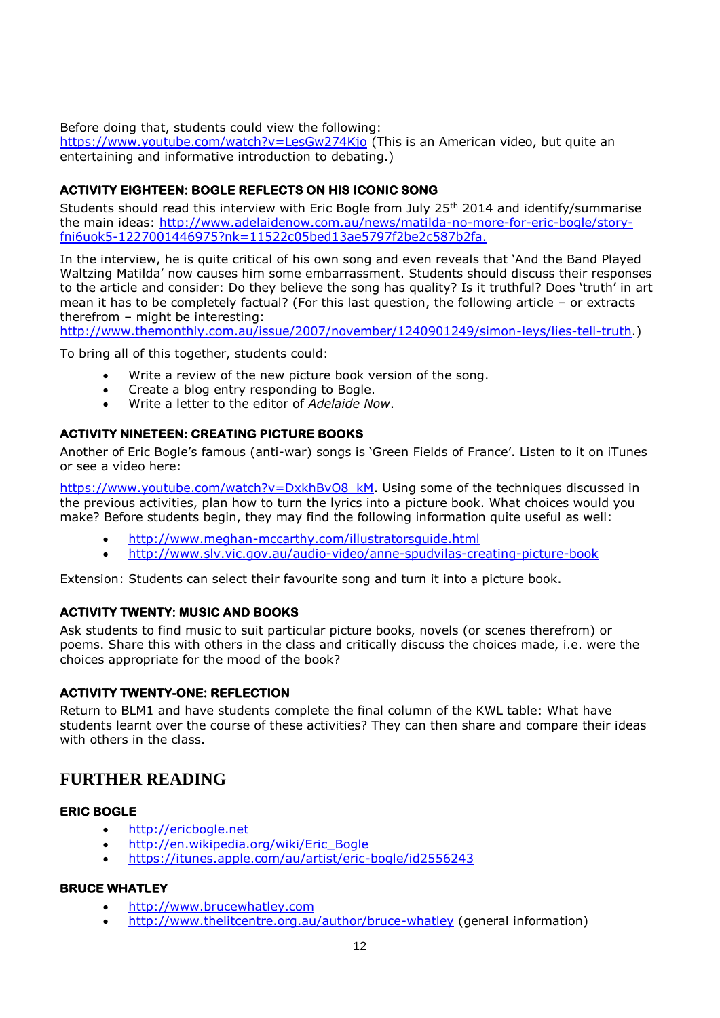Before doing that, students could view the following:

<https://www.youtube.com/watch?v=LesGw274Kjo> (This is an American video, but quite an entertaining and informative introduction to debating.)

#### **ACTIVITY EIGHTEEN: BOGLE REFLECTS ON HIS ICONIC SONG**

Students should read this interview with Eric Bogle from July  $25<sup>th</sup> 2014$  and identify/summarise the main ideas: [http://www.adelaidenow.com.au/news/matilda-no-more-for-eric-bogle/story](http://www.adelaidenow.com.au/news/matilda-no-more-for-eric-bogle/story-fni6uok5-1227001446975?nk=11522c05bed13ae5797f2be2c587b2fa)[fni6uok5-1227001446975?nk=11522c05bed13ae5797f2be2c587b2fa.](http://www.adelaidenow.com.au/news/matilda-no-more-for-eric-bogle/story-fni6uok5-1227001446975?nk=11522c05bed13ae5797f2be2c587b2fa)

In the interview, he is quite critical of his own song and even reveals that 'And the Band Played Waltzing Matilda' now causes him some embarrassment. Students should discuss their responses to the article and consider: Do they believe the song has quality? Is it truthful? Does 'truth' in art mean it has to be completely factual? (For this last question, the following article – or extracts therefrom – might be interesting:

[http://www.themonthly.com.au/issue/2007/november/1240901249/simon-leys/lies-tell-truth.](http://www.themonthly.com.au/issue/2007/november/1240901249/simon-leys/lies-tell-truth))

To bring all of this together, students could:

- Write a review of the new picture book version of the song.
- Create a blog entry responding to Bogle.
- Write a letter to the editor of *Adelaide Now*.

#### **ACTIVITY NINETEEN: CREATING PICTURE BOOKS**

Another of Eric Bogle's famous (anti-war) songs is 'Green Fields of France'. Listen to it on iTunes or see a video here:

[https://www.youtube.com/watch?v=DxkhBvO8\\_kM.](https://www.youtube.com/watch?v=DxkhBvO8_kM) Using some of the techniques discussed in the previous activities, plan how to turn the lyrics into a picture book. What choices would you make? Before students begin, they may find the following information quite useful as well:

- <http://www.meghan-mccarthy.com/illustratorsguide.html>
- <http://www.slv.vic.gov.au/audio-video/anne-spudvilas-creating-picture-book>

Extension: Students can select their favourite song and turn it into a picture book.

#### **ACTIVITY TWENTY: MUSIC AND BOOKS**

Ask students to find music to suit particular picture books, novels (or scenes therefrom) or poems. Share this with others in the class and critically discuss the choices made, i.e. were the choices appropriate for the mood of the book?

#### **ACTIVITY TWENTY-ONE: REFLECTION**

Return to BLM1 and have students complete the final column of the KWL table: What have students learnt over the course of these activities? They can then share and compare their ideas with others in the class.

## **FURTHER READING**

#### **ERIC BOGLE**

- [http://ericbogle.net](http://ericbogle.net/)
- [http://en.wikipedia.org/wiki/Eric\\_Bogle](http://en.wikipedia.org/wiki/Eric_Bogle)
- <https://itunes.apple.com/au/artist/eric-bogle/id2556243>

#### **BRUCE WHATLEY**

- [http://www.brucewhatley.com](http://www.brucewhatley.com/)
- <http://www.thelitcentre.org.au/author/bruce-whatley> (general information)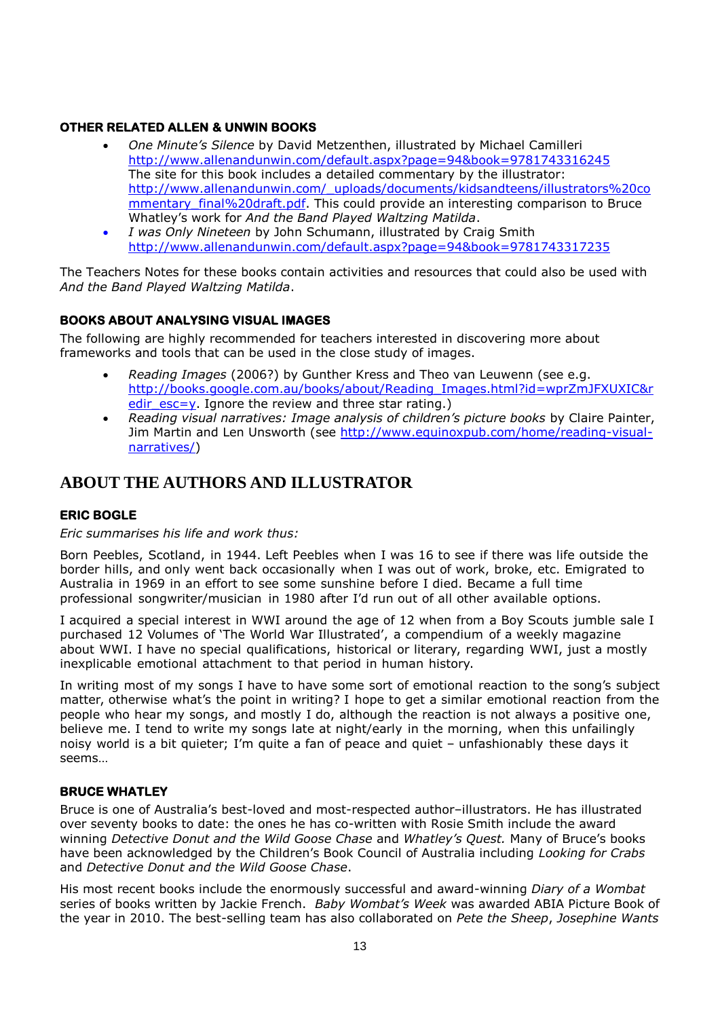#### **OTHER RELATED ALLEN & UNWIN BOOKS**

- *One Minute's Silence* by David Metzenthen, illustrated by Michael Camilleri <http://www.allenandunwin.com/default.aspx?page=94&book=9781743316245> The site for this book includes a detailed commentary by the illustrator: [http://www.allenandunwin.com/\\_uploads/documents/kidsandteens/illustrators%20co](http://www.allenandunwin.com/_uploads/documents/kidsandteens/illustrators%20commentary_final%20draft.pdf) mmentary final%20draft.pdf. This could provide an interesting comparison to Bruce Whatley's work for *And the Band Played Waltzing Matilda*.
- *I was Only Nineteen* by John Schumann, illustrated by Craig Smith <http://www.allenandunwin.com/default.aspx?page=94&book=9781743317235>

The Teachers Notes for these books contain activities and resources that could also be used with *And the Band Played Waltzing Matilda*.

#### **BOOKS ABOUT ANALYSING VISUAL IMAGES**

The following are highly recommended for teachers interested in discovering more about frameworks and tools that can be used in the close study of images.

- *Reading Images* (2006?) by Gunther Kress and Theo van Leuwenn (see e.g. [http://books.google.com.au/books/about/Reading\\_Images.html?id=wprZmJFXUXIC&r](http://books.google.com.au/books/about/Reading_Images.html?id=wprZmJFXUXIC&redir_esc=y) [edir\\_esc=y.](http://books.google.com.au/books/about/Reading_Images.html?id=wprZmJFXUXIC&redir_esc=y) Ignore the review and three star rating.)
- *Reading visual narratives: Image analysis of children's picture books* by Claire Painter, Jim Martin and Len Unsworth (see [http://www.equinoxpub.com/home/reading-visual](http://www.equinoxpub.com/home/reading-visual-narratives/)[narratives/\)](http://www.equinoxpub.com/home/reading-visual-narratives/)

## **ABOUT THE AUTHORS AND ILLUSTRATOR**

#### **ERIC BOGLE**

#### *Eric summarises his life and work thus:*

Born Peebles, Scotland, in 1944. Left Peebles when I was 16 to see if there was life outside the border hills, and only went back occasionally when I was out of work, broke, etc. Emigrated to Australia in 1969 in an effort to see some sunshine before I died. Became a full time professional songwriter/musician in 1980 after I'd run out of all other available options.

I acquired a special interest in WWI around the age of 12 when from a Boy Scouts jumble sale I purchased 12 Volumes of 'The World War Illustrated', a compendium of a weekly magazine about WWI. I have no special qualifications, historical or literary, regarding WWI, just a mostly inexplicable emotional attachment to that period in human history.

In writing most of my songs I have to have some sort of emotional reaction to the song's subject matter, otherwise what's the point in writing? I hope to get a similar emotional reaction from the people who hear my songs, and mostly I do, although the reaction is not always a positive one, believe me. I tend to write my songs late at night/early in the morning, when this unfailingly noisy world is a bit quieter; I'm quite a fan of peace and quiet – unfashionably these days it seems…

#### **BRUCE WHATLEY**

Bruce is one of Australia's best-loved and most-respected author–illustrators. He has illustrated over seventy books to date: the ones he has co-written with Rosie Smith include the award winning *Detective Donut and the Wild Goose Chase* and *Whatley's Quest.* Many of Bruce's books have been acknowledged by the Children's Book Council of Australia including *Looking for Crabs* and *Detective Donut and the Wild Goose Chase*.

His most recent books include the enormously successful and award-winning *Diary of a Wombat* series of books written by Jackie French. *Baby Wombat's Week* was awarded ABIA Picture Book of the year in 2010. The best-selling team has also collaborated on *Pete the Sheep*, *Josephine Wants*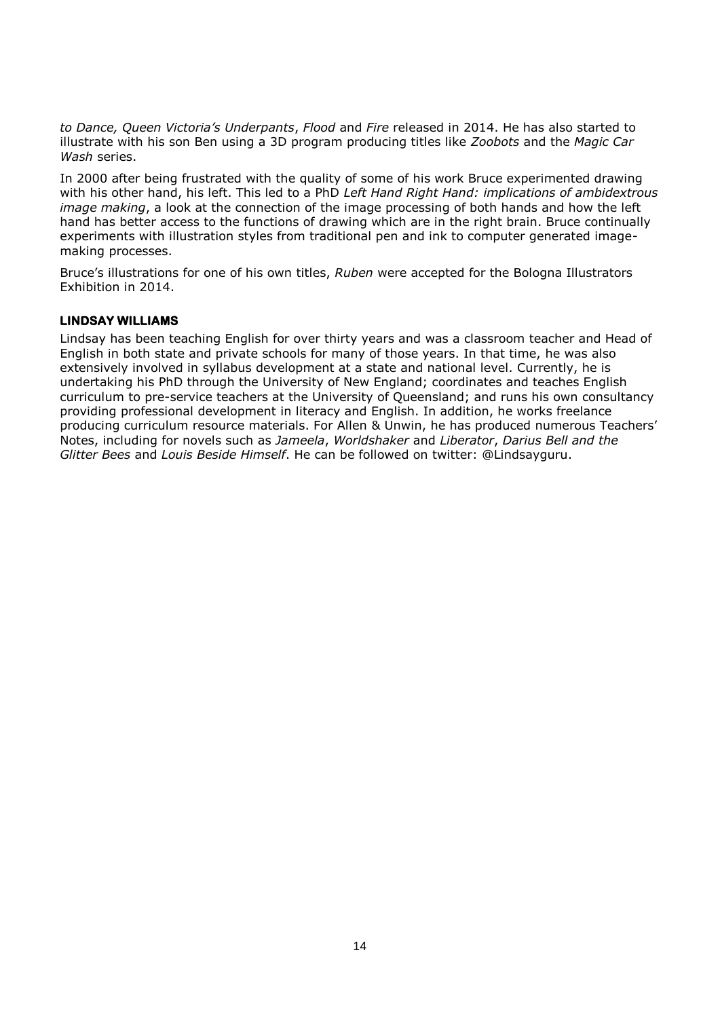*to Dance, Queen Victoria's Underpants*, *Flood* and *Fire* released in 2014. He has also started to illustrate with his son Ben using a 3D program producing titles like *Zoobots* and the *Magic Car Wash* series.

In 2000 after being frustrated with the quality of some of his work Bruce experimented drawing with his other hand, his left. This led to a PhD *Left Hand Right Hand: implications of ambidextrous image making*, a look at the connection of the image processing of both hands and how the left hand has better access to the functions of drawing which are in the right brain. Bruce continually experiments with illustration styles from traditional pen and ink to computer generated imagemaking processes.

Bruce's illustrations for one of his own titles, *Ruben* were accepted for the Bologna Illustrators Exhibition in 2014.

#### **LINDSAY WILLIAMS**

Lindsay has been teaching English for over thirty years and was a classroom teacher and Head of English in both state and private schools for many of those years. In that time, he was also extensively involved in syllabus development at a state and national level. Currently, he is undertaking his PhD through the University of New England; coordinates and teaches English curriculum to pre-service teachers at the University of Queensland; and runs his own consultancy providing professional development in literacy and English. In addition, he works freelance producing curriculum resource materials. For Allen & Unwin, he has produced numerous Teachers' Notes, including for novels such as *Jameela*, *Worldshaker* and *Liberator*, *Darius Bell and the Glitter Bees* and *Louis Beside Himself*. He can be followed on twitter: @Lindsayguru.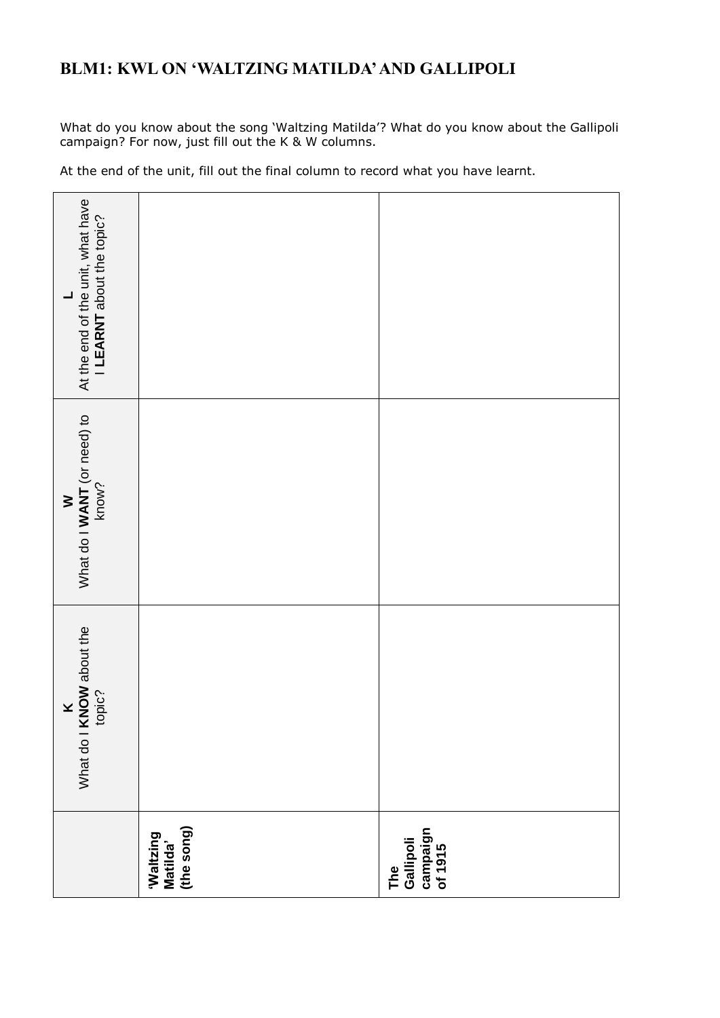## **BLM1: KWL ON 'WALTZING MATILDA' AND GALLIPOLI**

What do you know about the song 'Waltzing Matilda'? What do you know about the Gallipoli campaign? For now, just fill out the K & W columns.

At the end of the unit, fill out the final column to record what you have learnt.

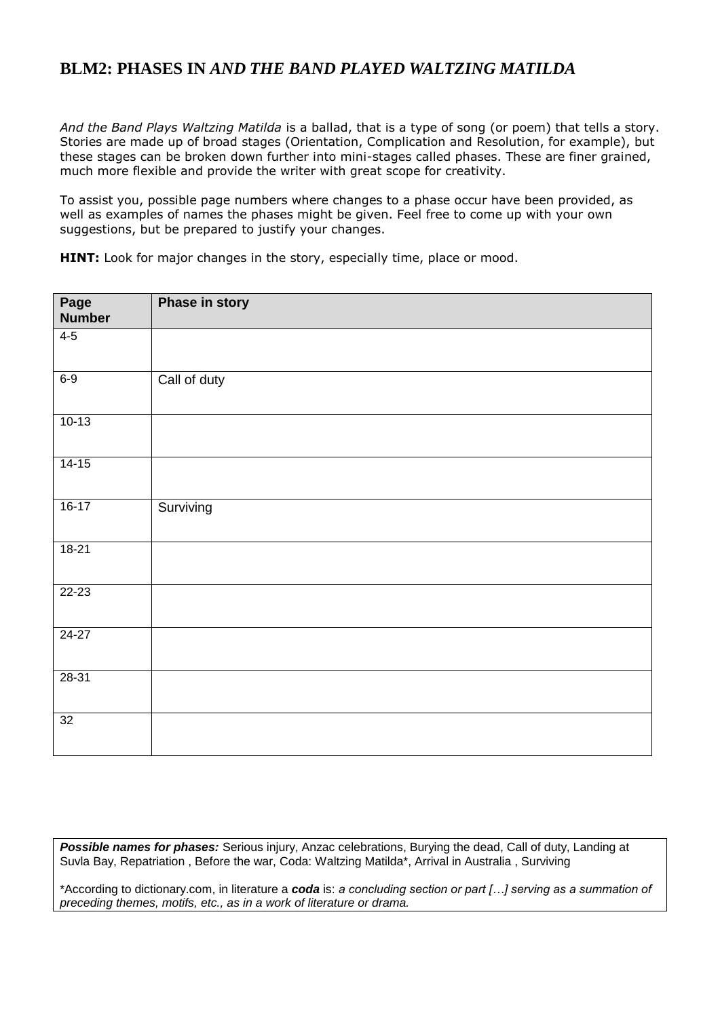## **BLM2: PHASES IN** *AND THE BAND PLAYED WALTZING MATILDA*

*And the Band Plays Waltzing Matilda* is a ballad, that is a type of song (or poem) that tells a story. Stories are made up of broad stages (Orientation, Complication and Resolution, for example), but these stages can be broken down further into mini-stages called phases. These are finer grained, much more flexible and provide the writer with great scope for creativity.

To assist you, possible page numbers where changes to a phase occur have been provided, as well as examples of names the phases might be given. Feel free to come up with your own suggestions, but be prepared to justify your changes.

**HINT:** Look for major changes in the story, especially time, place or mood.

| Page<br>Number  | <b>Phase in story</b> |
|-----------------|-----------------------|
| $4-5$           |                       |
| $6 - 9$         | Call of duty          |
| $10-13$         |                       |
| $14 - 15$       |                       |
| $16-17$         | Surviving             |
| $18 - 21$       |                       |
| $22 - 23$       |                       |
| $24-27$         |                       |
| $28-31$         |                       |
| $\overline{32}$ |                       |

*Possible names for phases:* Serious injury, Anzac celebrations, Burying the dead, Call of duty, Landing at Suvla Bay, Repatriation , Before the war, Coda: Waltzing Matilda\*, Arrival in Australia , Surviving

\*According to dictionary.com, in literature a *coda* is: *a concluding section or part […] serving as a summation of preceding themes, motifs, etc., as in a work of literature or drama.*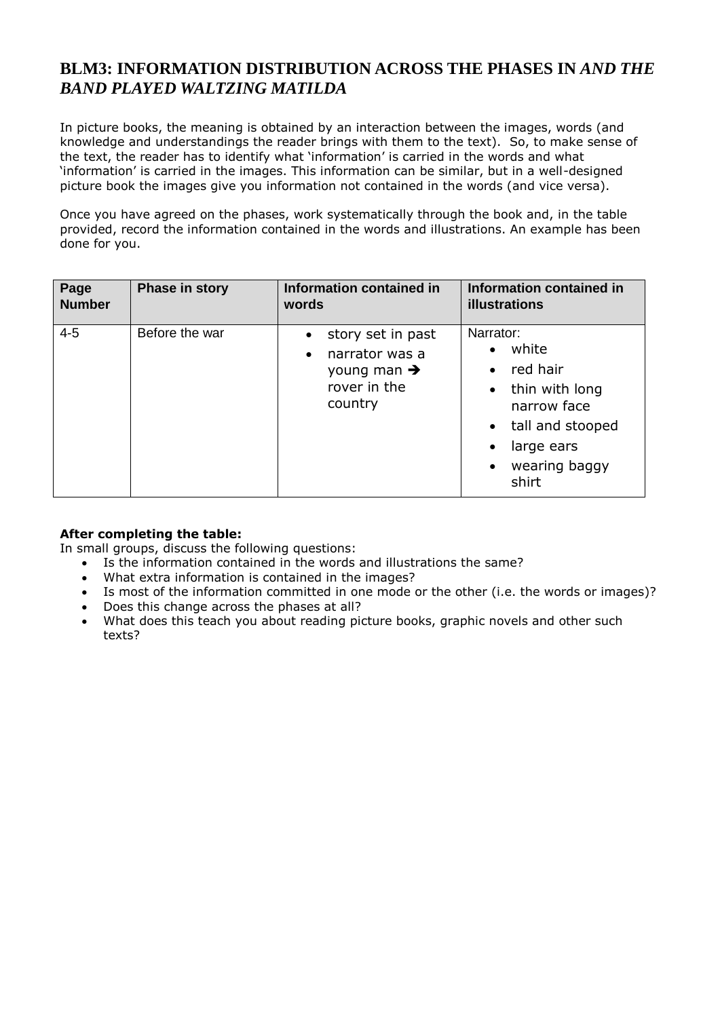## **BLM3: INFORMATION DISTRIBUTION ACROSS THE PHASES IN** *AND THE BAND PLAYED WALTZING MATILDA*

In picture books, the meaning is obtained by an interaction between the images, words (and knowledge and understandings the reader brings with them to the text). So, to make sense of the text, the reader has to identify what 'information' is carried in the words and what 'information' is carried in the images. This information can be similar, but in a well-designed picture book the images give you information not contained in the words (and vice versa).

Once you have agreed on the phases, work systematically through the book and, in the table provided, record the information contained in the words and illustrations. An example has been done for you.

| Page          | Phase in story | Information contained in                                                                               | Information contained in                                                                                                                                                            |
|---------------|----------------|--------------------------------------------------------------------------------------------------------|-------------------------------------------------------------------------------------------------------------------------------------------------------------------------------------|
| <b>Number</b> |                | words                                                                                                  | <b>illustrations</b>                                                                                                                                                                |
| $4 - 5$       | Before the war | story set in past<br>narrator was a<br>$\bullet$<br>young man $\rightarrow$<br>rover in the<br>country | Narrator:<br>white<br>$\bullet$<br>red hair<br>$\bullet$<br>• thin with long<br>narrow face<br>• tall and stooped<br>large ears<br>$\bullet$<br>wearing baggy<br>$\bullet$<br>shirt |

#### **After completing the table:**

In small groups, discuss the following questions:

- Is the information contained in the words and illustrations the same?
- What extra information is contained in the images?
- Is most of the information committed in one mode or the other (i.e. the words or images)?
- Does this change across the phases at all?
- What does this teach you about reading picture books, graphic novels and other such texts?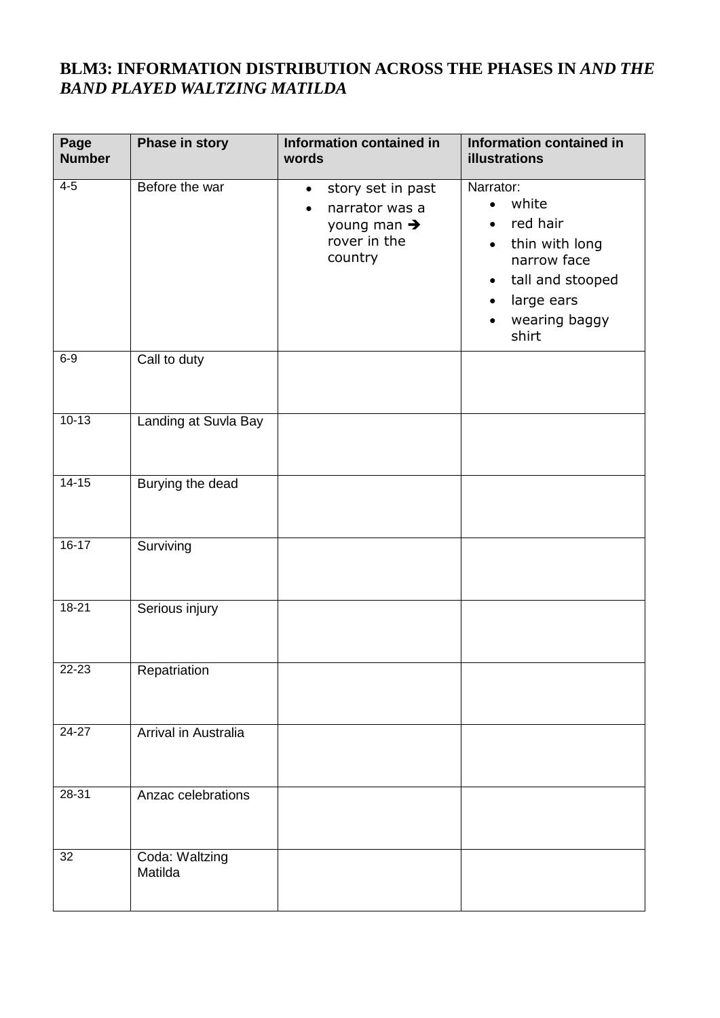## **BLM3: INFORMATION DISTRIBUTION ACROSS THE PHASES IN** *AND THE BAND PLAYED WALTZING MATILDA*

| Page<br><b>Number</b> | Phase in story            | Information contained in<br>words                                                                                   | Information contained in<br>illustrations                                                                                                                                                                 |
|-----------------------|---------------------------|---------------------------------------------------------------------------------------------------------------------|-----------------------------------------------------------------------------------------------------------------------------------------------------------------------------------------------------------|
| $4 - 5$               | Before the war            | story set in past<br>$\bullet$<br>narrator was a<br>$\bullet$<br>young man $\rightarrow$<br>rover in the<br>country | Narrator:<br>white<br>$\bullet$<br>red hair<br>$\bullet$<br>thin with long<br>$\bullet$<br>narrow face<br>tall and stooped<br>$\bullet$<br>large ears<br>$\bullet$<br>wearing baggy<br>$\bullet$<br>shirt |
| $6 - 9$               | Call to duty              |                                                                                                                     |                                                                                                                                                                                                           |
| $10-13$               | Landing at Suvla Bay      |                                                                                                                     |                                                                                                                                                                                                           |
| $14 - 15$             | Burying the dead          |                                                                                                                     |                                                                                                                                                                                                           |
| $16-17$               | Surviving                 |                                                                                                                     |                                                                                                                                                                                                           |
| $18 - 21$             | Serious injury            |                                                                                                                     |                                                                                                                                                                                                           |
| 22-23                 | Repatriation              |                                                                                                                     |                                                                                                                                                                                                           |
| 24-27                 | Arrival in Australia      |                                                                                                                     |                                                                                                                                                                                                           |
| $28 - 31$             | Anzac celebrations        |                                                                                                                     |                                                                                                                                                                                                           |
| 32                    | Coda: Waltzing<br>Matilda |                                                                                                                     |                                                                                                                                                                                                           |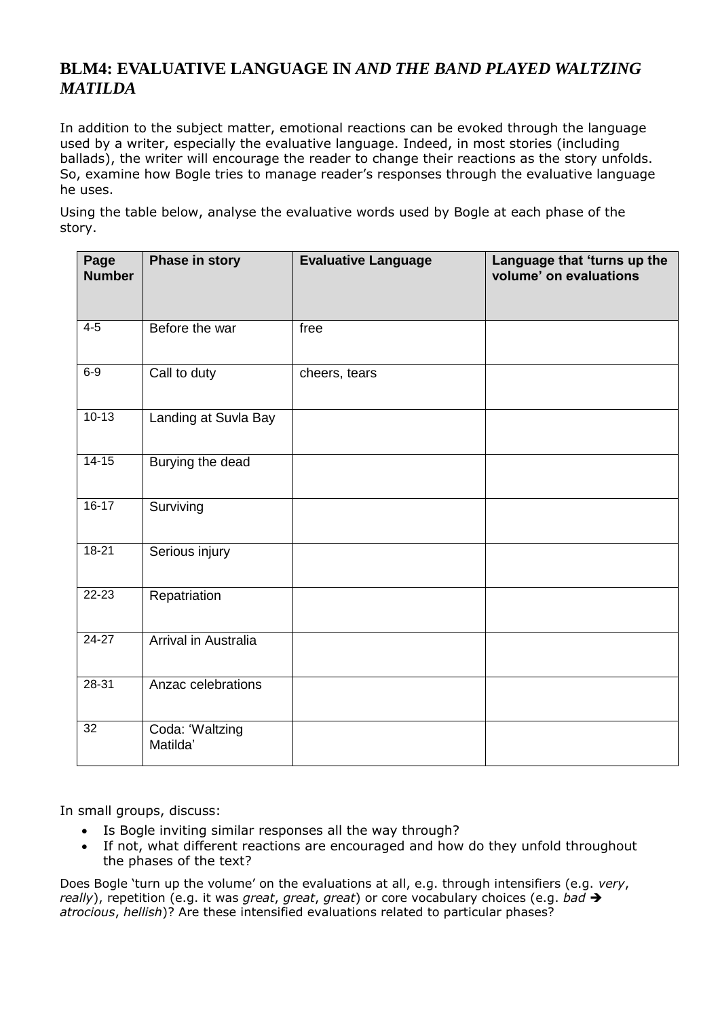## **BLM4: EVALUATIVE LANGUAGE IN** *AND THE BAND PLAYED WALTZING MATILDA*

In addition to the subject matter, emotional reactions can be evoked through the language used by a writer, especially the evaluative language. Indeed, in most stories (including ballads), the writer will encourage the reader to change their reactions as the story unfolds. So, examine how Bogle tries to manage reader's responses through the evaluative language he uses.

Using the table below, analyse the evaluative words used by Bogle at each phase of the story.

| Page<br><b>Number</b> | Phase in story              | <b>Evaluative Language</b> | Language that 'turns up the<br>volume' on evaluations |
|-----------------------|-----------------------------|----------------------------|-------------------------------------------------------|
| $4 - 5$               | Before the war              | free                       |                                                       |
| $6 - 9$               | Call to duty                | cheers, tears              |                                                       |
| $10 - 13$             | Landing at Suvla Bay        |                            |                                                       |
| $14 - 15$             | Burying the dead            |                            |                                                       |
| $16-17$               | Surviving                   |                            |                                                       |
| $18 - 21$             | Serious injury              |                            |                                                       |
| $22 - 23$             | Repatriation                |                            |                                                       |
| $24-27$               | Arrival in Australia        |                            |                                                       |
| $28-31$               | Anzac celebrations          |                            |                                                       |
| $\overline{32}$       | Coda: 'Waltzing<br>Matilda' |                            |                                                       |

In small groups, discuss:

- Is Bogle inviting similar responses all the way through?
- If not, what different reactions are encouraged and how do they unfold throughout the phases of the text?

Does Bogle 'turn up the volume' on the evaluations at all, e.g. through intensifiers (e.g. *very*, *really*), repetition (e.g. it was *great*, *great*, *great*) or core vocabulary choices (e.g. *bad atrocious*, *hellish*)? Are these intensified evaluations related to particular phases?